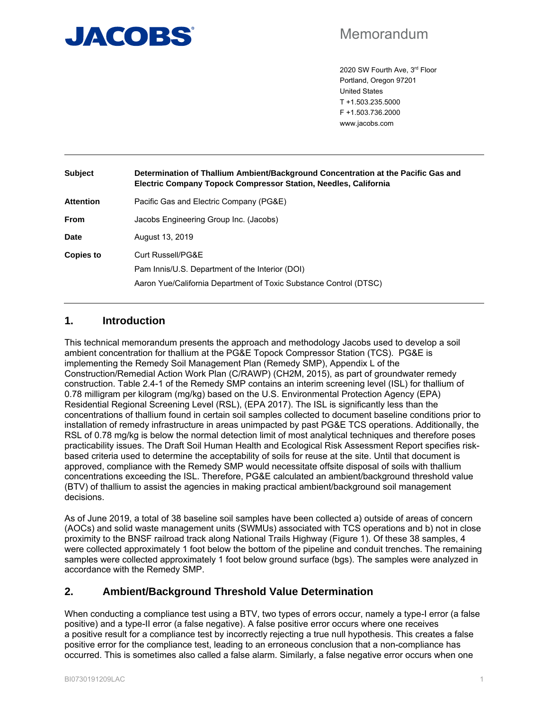

# Memorandum

2020 SW Fourth Ave, 3rd Floor Portland, Oregon 97201 United States T +1.503.235.5000 F +1.503.736.2000 www.jacobs.com

| <b>Subject</b>   | Determination of Thallium Ambient/Background Concentration at the Pacific Gas and<br><b>Electric Company Topock Compressor Station, Needles, California</b> |  |  |  |  |  |
|------------------|-------------------------------------------------------------------------------------------------------------------------------------------------------------|--|--|--|--|--|
| <b>Attention</b> | Pacific Gas and Electric Company (PG&E)                                                                                                                     |  |  |  |  |  |
| <b>From</b>      | Jacobs Engineering Group Inc. (Jacobs)                                                                                                                      |  |  |  |  |  |
| Date             | August 13, 2019                                                                                                                                             |  |  |  |  |  |
| <b>Copies to</b> | Curt Russell/PG&E                                                                                                                                           |  |  |  |  |  |
|                  | Pam Innis/U.S. Department of the Interior (DOI)                                                                                                             |  |  |  |  |  |
|                  | Aaron Yue/California Department of Toxic Substance Control (DTSC)                                                                                           |  |  |  |  |  |

# **1. Introduction**

This technical memorandum presents the approach and methodology Jacobs used to develop a soil ambient concentration for thallium at the PG&E Topock Compressor Station (TCS). PG&E is implementing the Remedy Soil Management Plan (Remedy SMP), Appendix L of the Construction/Remedial Action Work Plan (C/RAWP) (CH2M, 2015), as part of groundwater remedy construction. Table 2.4-1 of the Remedy SMP contains an interim screening level (ISL) for thallium of 0.78 milligram per kilogram (mg/kg) based on the U.S. Environmental Protection Agency (EPA) Residential Regional Screening Level (RSL), (EPA 2017). The ISL is significantly less than the concentrations of thallium found in certain soil samples collected to document baseline conditions prior to installation of remedy infrastructure in areas unimpacted by past PG&E TCS operations. Additionally, the RSL of 0.78 mg/kg is below the normal detection limit of most analytical techniques and therefore poses practicability issues. The Draft Soil Human Health and Ecological Risk Assessment Report specifies riskbased criteria used to determine the acceptability of soils for reuse at the site. Until that document is approved, compliance with the Remedy SMP would necessitate offsite disposal of soils with thallium concentrations exceeding the ISL. Therefore, PG&E calculated an ambient/background threshold value (BTV) of thallium to assist the agencies in making practical ambient/background soil management decisions.

As of June 2019, a total of 38 baseline soil samples have been collected a) outside of areas of concern (AOCs) and solid waste management units (SWMUs) associated with TCS operations and b) not in close proximity to the BNSF railroad track along National Trails Highway (Figure 1). Of these 38 samples, 4 were collected approximately 1 foot below the bottom of the pipeline and conduit trenches. The remaining samples were collected approximately 1 foot below ground surface (bgs). The samples were analyzed in accordance with the Remedy SMP.

# **2. Ambient/Background Threshold Value Determination**

When conducting a compliance test using a BTV, two types of errors occur, namely a type-I error (a false positive) and a type-II error (a false negative). A false positive error occurs where one receives a positive result for a compliance test by incorrectly rejecting a true null hypothesis. This creates a false positive error for the compliance test, leading to an erroneous conclusion that a non-compliance has occurred. This is sometimes also called a false alarm. Similarly, a false negative error occurs when one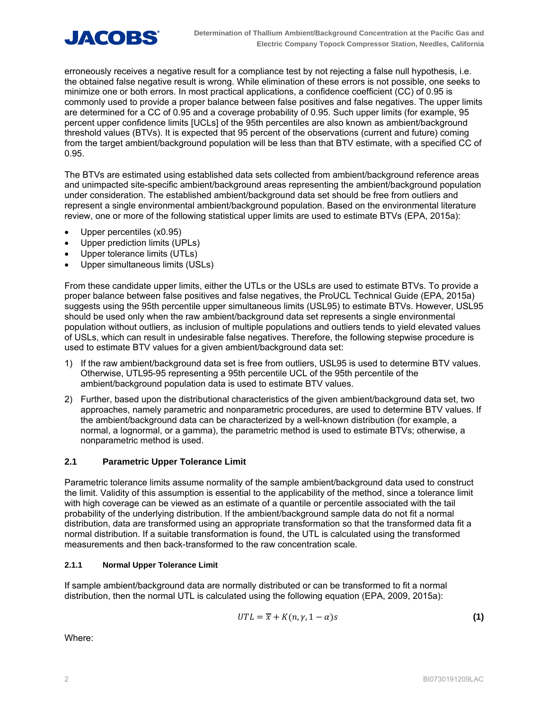

erroneously receives a negative result for a compliance test by not rejecting a false null hypothesis, i.e. the obtained false negative result is wrong. While elimination of these errors is not possible, one seeks to minimize one or both errors. In most practical applications, a confidence coefficient (CC) of 0.95 is commonly used to provide a proper balance between false positives and false negatives. The upper limits are determined for a CC of 0.95 and a coverage probability of 0.95. Such upper limits (for example, 95 percent upper confidence limits [UCLs] of the 95th percentiles are also known as ambient/background threshold values (BTVs). It is expected that 95 percent of the observations (current and future) coming from the target ambient/background population will be less than that BTV estimate, with a specified CC of 0.95.

The BTVs are estimated using established data sets collected from ambient/background reference areas and unimpacted site-specific ambient/background areas representing the ambient/background population under consideration. The established ambient/background data set should be free from outliers and represent a single environmental ambient/background population. Based on the environmental literature review, one or more of the following statistical upper limits are used to estimate BTVs (EPA, 2015a):

- Upper percentiles (x0.95)
- Upper prediction limits (UPLs)
- Upper tolerance limits (UTLs)
- Upper simultaneous limits (USLs)

From these candidate upper limits, either the UTLs or the USLs are used to estimate BTVs. To provide a proper balance between false positives and false negatives, the ProUCL Technical Guide (EPA, 2015a) suggests using the 95th percentile upper simultaneous limits (USL95) to estimate BTVs. However, USL95 should be used only when the raw ambient/background data set represents a single environmental population without outliers, as inclusion of multiple populations and outliers tends to yield elevated values of USLs, which can result in undesirable false negatives. Therefore, the following stepwise procedure is used to estimate BTV values for a given ambient/background data set:

- 1) If the raw ambient/background data set is free from outliers, USL95 is used to determine BTV values. Otherwise, UTL95-95 representing a 95th percentile UCL of the 95th percentile of the ambient/background population data is used to estimate BTV values.
- 2) Further, based upon the distributional characteristics of the given ambient/background data set, two approaches, namely parametric and nonparametric procedures, are used to determine BTV values. If the ambient/background data can be characterized by a well-known distribution (for example, a normal, a lognormal, or a gamma), the parametric method is used to estimate BTVs; otherwise, a nonparametric method is used.

# **2.1 Parametric Upper Tolerance Limit**

Parametric tolerance limits assume normality of the sample ambient/background data used to construct the limit. Validity of this assumption is essential to the applicability of the method, since a tolerance limit with high coverage can be viewed as an estimate of a quantile or percentile associated with the tail probability of the underlying distribution. If the ambient/background sample data do not fit a normal distribution, data are transformed using an appropriate transformation so that the transformed data fit a normal distribution. If a suitable transformation is found, the UTL is calculated using the transformed measurements and then back-transformed to the raw concentration scale.

#### **2.1.1 Normal Upper Tolerance Limit**

If sample ambient/background data are normally distributed or can be transformed to fit a normal distribution, then the normal UTL is calculated using the following equation (EPA, 2009, 2015a):

$$
UTL = \overline{x} + K(n, \gamma, 1 - \alpha)s
$$
 (1)

Where: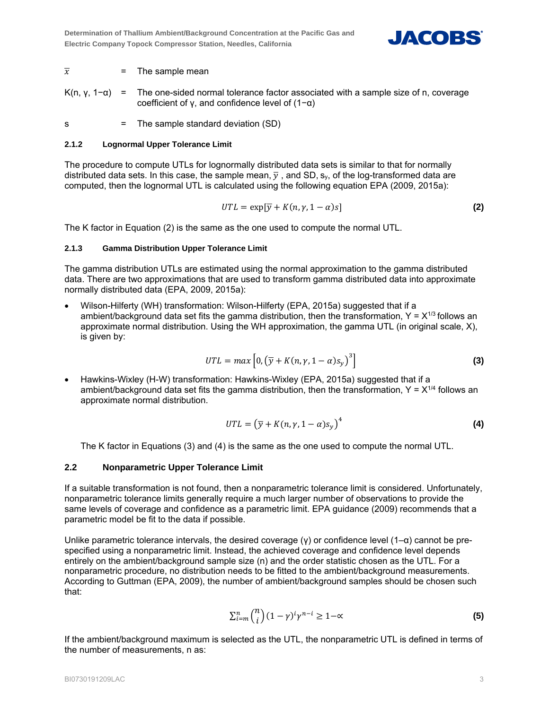

## $\overline{x}$  = The sample mean

K(n, y,  $1-\alpha$ ) = The one-sided normal tolerance factor associated with a sample size of n, coverage coefficient of γ, and confidence level of (1−α)

s = The sample standard deviation (SD)

#### **2.1.2 Lognormal Upper Tolerance Limit**

The procedure to compute UTLs for lognormally distributed data sets is similar to that for normally distributed data sets. In this case, the sample mean,  $\overline{y}$ , and SD, s<sub>y</sub>, of the log-transformed data are computed, then the lognormal UTL is calculated using the following equation EPA (2009, 2015a):

$$
UTL = \exp[\overline{y} + K(n, \gamma, 1 - \alpha)s]
$$
 (2)

The K factor in Equation (2) is the same as the one used to compute the normal UTL.

#### **2.1.3 Gamma Distribution Upper Tolerance Limit**

The gamma distribution UTLs are estimated using the normal approximation to the gamma distributed data. There are two approximations that are used to transform gamma distributed data into approximate normally distributed data (EPA, 2009, 2015a):

 Wilson-Hilferty (WH) transformation: Wilson-Hilferty (EPA, 2015a) suggested that if a ambient/background data set fits the gamma distribution, then the transformation,  $Y = X^{1/3}$  follows an approximate normal distribution. Using the WH approximation, the gamma UTL (in original scale, X), is given by:

$$
UTL = max\left[0, \left(\overline{y} + K(n, \gamma, 1 - \alpha)s_y\right)^3\right]
$$
 (3)

 Hawkins-Wixley (H-W) transformation: Hawkins-Wixley (EPA, 2015a) suggested that if a ambient/background data set fits the gamma distribution, then the transformation,  $Y = X^{1/4}$  follows an approximate normal distribution.

$$
UTL = (\overline{y} + K(n, \gamma, 1 - \alpha)s_{y})^{4}
$$
 (4)

The K factor in Equations (3) and (4) is the same as the one used to compute the normal UTL.

# **2.2 Nonparametric Upper Tolerance Limit**

If a suitable transformation is not found, then a nonparametric tolerance limit is considered. Unfortunately, nonparametric tolerance limits generally require a much larger number of observations to provide the same levels of coverage and confidence as a parametric limit. EPA guidance (2009) recommends that a parametric model be fit to the data if possible.

Unlike parametric tolerance intervals, the desired coverage (γ) or confidence level  $(1-a)$  cannot be prespecified using a nonparametric limit. Instead, the achieved coverage and confidence level depends entirely on the ambient/background sample size (n) and the order statistic chosen as the UTL. For a nonparametric procedure, no distribution needs to be fitted to the ambient/background measurements. According to Guttman (EPA, 2009), the number of ambient/background samples should be chosen such that:

$$
\sum_{i=m}^{n} \binom{n}{i} (1-\gamma)^i \gamma^{n-i} \ge 1-\infty
$$
 (5)

If the ambient/background maximum is selected as the UTL, the nonparametric UTL is defined in terms of the number of measurements, n as: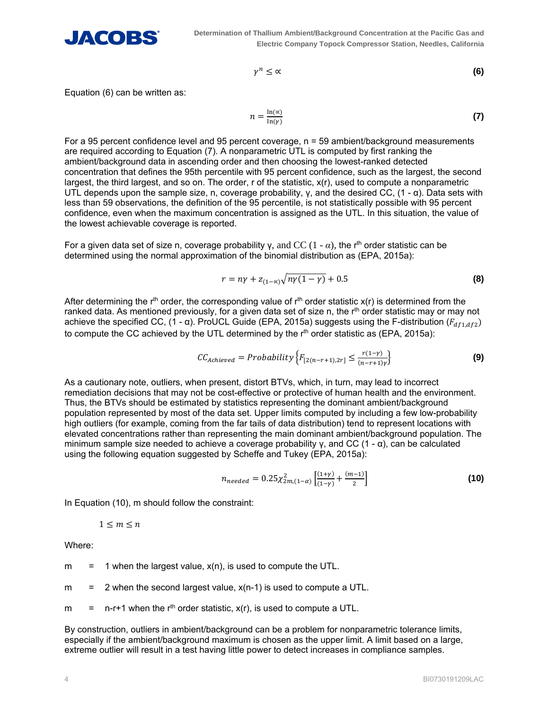

$$
\gamma^n \leq \alpha \tag{6}
$$

Equation (6) can be written as:

$$
n = \frac{\ln(\alpha)}{\ln(\gamma)}\tag{7}
$$

For a 95 percent confidence level and 95 percent coverage, n = 59 ambient/background measurements are required according to Equation (7). A nonparametric UTL is computed by first ranking the ambient/background data in ascending order and then choosing the lowest-ranked detected concentration that defines the 95th percentile with 95 percent confidence, such as the largest, the second largest, the third largest, and so on. The order, r of the statistic, x(r), used to compute a nonparametric UTL depends upon the sample size, n, coverage probability,  $\gamma$ , and the desired CC, (1 -  $\alpha$ ). Data sets with less than 59 observations, the definition of the 95 percentile, is not statistically possible with 95 percent confidence, even when the maximum concentration is assigned as the UTL. In this situation, the value of the lowest achievable coverage is reported.

For a given data set of size n, coverage probability y, and CC  $(1 - \alpha)$ , the r<sup>th</sup> order statistic can be determined using the normal approximation of the binomial distribution as (EPA, 2015a):

$$
r = n\gamma + z_{(1-\alpha)}\sqrt{n\gamma(1-\gamma)} + 0.5
$$
 (8)

After determining the r<sup>th</sup> order, the corresponding value of r<sup>th</sup> order statistic  $x(r)$  is determined from the ranked data. As mentioned previously, for a given data set of size n, the r<sup>th</sup> order statistic may or may not achieve the specified CC, (1 -  $\alpha$ ). ProUCL Guide (EPA, 2015a) suggests using the F-distribution ( $F_{df1,df2}$ ) to compute the CC achieved by the UTL determined by the  $r<sup>th</sup>$  order statistic as (EPA, 2015a):

$$
CC_{achieved} = Probability\left\{F_{[2(n-r+1),2r]} \le \frac{r(1-\gamma)}{(n-r+1)\gamma}\right\}
$$
\n(9)

As a cautionary note, outliers, when present, distort BTVs, which, in turn, may lead to incorrect remediation decisions that may not be cost-effective or protective of human health and the environment. Thus, the BTVs should be estimated by statistics representing the dominant ambient/background population represented by most of the data set. Upper limits computed by including a few low-probability high outliers (for example, coming from the far tails of data distribution) tend to represent locations with elevated concentrations rather than representing the main dominant ambient/background population. The minimum sample size needed to achieve a coverage probability γ, and CC  $(1 - α)$ , can be calculated using the following equation suggested by Scheffe and Tukey (EPA, 2015a):

$$
n_{needed} = 0.25 \chi_{2m,(1-\alpha)}^2 \left[ \frac{(1+\gamma)}{(1-\gamma)} + \frac{(m-1)}{2} \right]
$$
 (10)

In Equation (10), m should follow the constraint:

 $1 \leq m \leq n$ 

Where:

 $m = 1$  when the largest value,  $x(n)$ , is used to compute the UTL.

 $m = 2$  when the second largest value,  $x(n-1)$  is used to compute a UTL.

m  $=$  n-r+1 when the r<sup>th</sup> order statistic,  $x(r)$ , is used to compute a UTL.

By construction, outliers in ambient/background can be a problem for nonparametric tolerance limits, especially if the ambient/background maximum is chosen as the upper limit. A limit based on a large, extreme outlier will result in a test having little power to detect increases in compliance samples.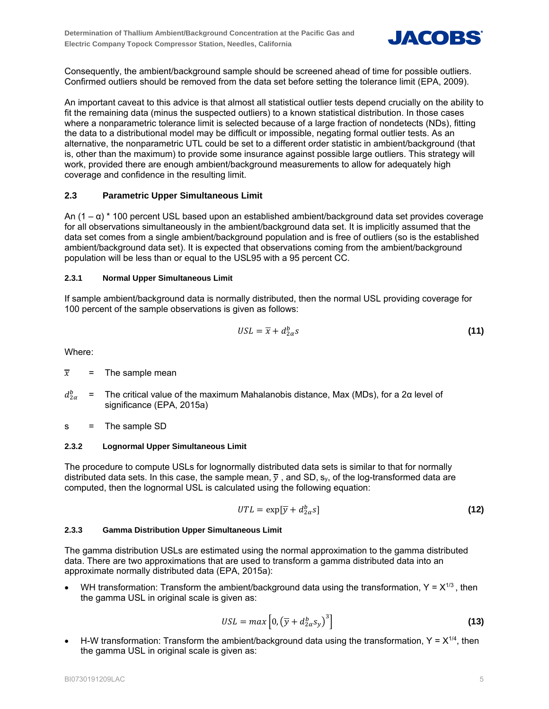

Consequently, the ambient/background sample should be screened ahead of time for possible outliers. Confirmed outliers should be removed from the data set before setting the tolerance limit (EPA, 2009).

An important caveat to this advice is that almost all statistical outlier tests depend crucially on the ability to fit the remaining data (minus the suspected outliers) to a known statistical distribution. In those cases where a nonparametric tolerance limit is selected because of a large fraction of nondetects (NDs), fitting the data to a distributional model may be difficult or impossible, negating formal outlier tests. As an alternative, the nonparametric UTL could be set to a different order statistic in ambient/background (that is, other than the maximum) to provide some insurance against possible large outliers. This strategy will work, provided there are enough ambient/background measurements to allow for adequately high coverage and confidence in the resulting limit.

# **2.3 Parametric Upper Simultaneous Limit**

An  $(1 - \alpha)$  \* 100 percent USL based upon an established ambient/background data set provides coverage for all observations simultaneously in the ambient/background data set. It is implicitly assumed that the data set comes from a single ambient/background population and is free of outliers (so is the established ambient/background data set). It is expected that observations coming from the ambient/background population will be less than or equal to the USL95 with a 95 percent CC.

## **2.3.1 Normal Upper Simultaneous Limit**

If sample ambient/background data is normally distributed, then the normal USL providing coverage for 100 percent of the sample observations is given as follows:

$$
USL = \overline{x} + d_{2\alpha}^b s \tag{11}
$$

Where:

- $\overline{x}$  = The sample mean
- $d_{2\alpha}^b$  = The critical value of the maximum Mahalanobis distance, Max (MDs), for a 2α level of significance (EPA, 2015a)
- s = The sample SD

#### **2.3.2 Lognormal Upper Simultaneous Limit**

The procedure to compute USLs for lognormally distributed data sets is similar to that for normally distributed data sets. In this case, the sample mean,  $\overline{y}$ , and SD, sy, of the log-transformed data are computed, then the lognormal USL is calculated using the following equation:

$$
UTL = \exp[\overline{y} + d_{2\alpha}^b s] \tag{12}
$$

#### **2.3.3 Gamma Distribution Upper Simultaneous Limit**

The gamma distribution USLs are estimated using the normal approximation to the gamma distributed data. There are two approximations that are used to transform a gamma distributed data into an approximate normally distributed data (EPA, 2015a):

WH transformation: Transform the ambient/background data using the transformation,  $Y = X^{1/3}$ , then the gamma USL in original scale is given as:

$$
USL = max\left[0, \left(\overline{y} + d_{2\alpha}^b s_y\right)^3\right]
$$
 (13)

H-W transformation: Transform the ambient/background data using the transformation,  $Y = X^{1/4}$ , then the gamma USL in original scale is given as: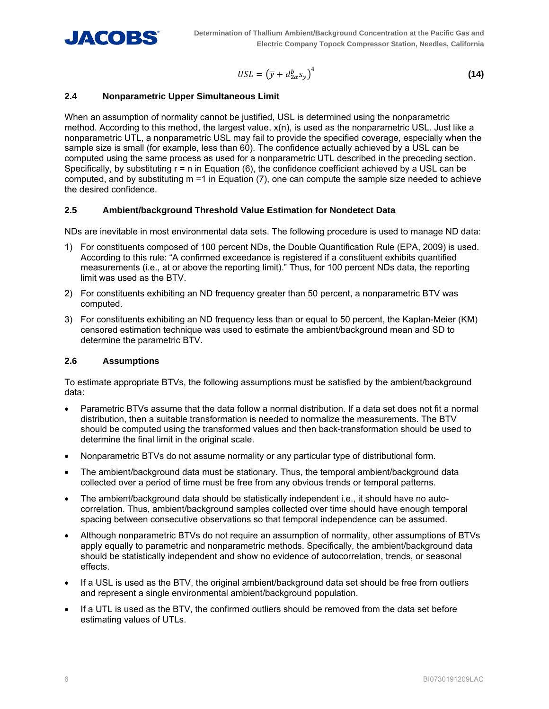

$$
USL = \left(\overline{y} + d_{2\alpha}^b s_y\right)^4 \tag{14}
$$

## **2.4 Nonparametric Upper Simultaneous Limit**

When an assumption of normality cannot be justified, USL is determined using the nonparametric method. According to this method, the largest value, x(n), is used as the nonparametric USL. Just like a nonparametric UTL, a nonparametric USL may fail to provide the specified coverage, especially when the sample size is small (for example, less than 60). The confidence actually achieved by a USL can be computed using the same process as used for a nonparametric UTL described in the preceding section. Specifically, by substituting  $r = n$  in Equation (6), the confidence coefficient achieved by a USL can be computed, and by substituting m =1 in Equation (7), one can compute the sample size needed to achieve the desired confidence.

## **2.5 Ambient/background Threshold Value Estimation for Nondetect Data**

NDs are inevitable in most environmental data sets. The following procedure is used to manage ND data:

- 1) For constituents composed of 100 percent NDs, the Double Quantification Rule (EPA, 2009) is used. According to this rule: "A confirmed exceedance is registered if a constituent exhibits quantified measurements (i.e., at or above the reporting limit)." Thus, for 100 percent NDs data, the reporting limit was used as the BTV.
- 2) For constituents exhibiting an ND frequency greater than 50 percent, a nonparametric BTV was computed.
- 3) For constituents exhibiting an ND frequency less than or equal to 50 percent, the Kaplan-Meier (KM) censored estimation technique was used to estimate the ambient/background mean and SD to determine the parametric BTV.

#### **2.6 Assumptions**

To estimate appropriate BTVs, the following assumptions must be satisfied by the ambient/background data:

- Parametric BTVs assume that the data follow a normal distribution. If a data set does not fit a normal distribution, then a suitable transformation is needed to normalize the measurements. The BTV should be computed using the transformed values and then back-transformation should be used to determine the final limit in the original scale.
- Nonparametric BTVs do not assume normality or any particular type of distributional form.
- The ambient/background data must be stationary. Thus, the temporal ambient/background data collected over a period of time must be free from any obvious trends or temporal patterns.
- The ambient/background data should be statistically independent i.e., it should have no autocorrelation. Thus, ambient/background samples collected over time should have enough temporal spacing between consecutive observations so that temporal independence can be assumed.
- Although nonparametric BTVs do not require an assumption of normality, other assumptions of BTVs apply equally to parametric and nonparametric methods. Specifically, the ambient/background data should be statistically independent and show no evidence of autocorrelation, trends, or seasonal effects.
- If a USL is used as the BTV, the original ambient/background data set should be free from outliers and represent a single environmental ambient/background population.
- If a UTL is used as the BTV, the confirmed outliers should be removed from the data set before estimating values of UTLs.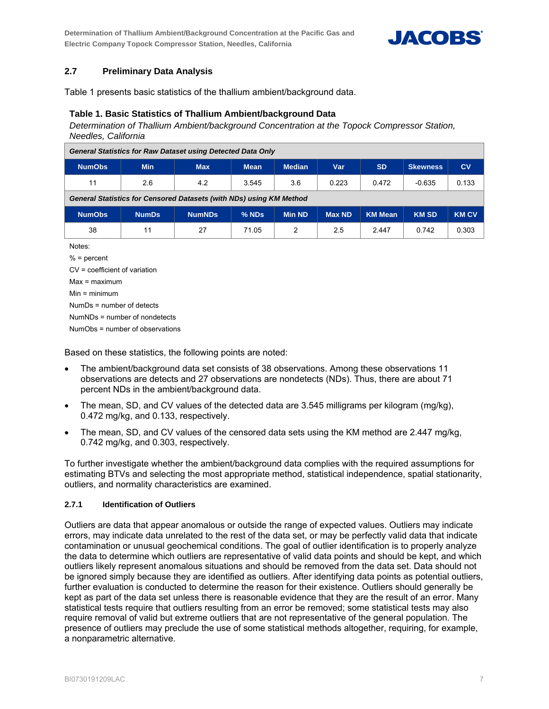**Determination of Thallium Ambient/Background Concentration at the Pacific Gas and Electric Company Topock Compressor Station, Needles, California** 



# **2.7 Preliminary Data Analysis**

Table 1 presents basic statistics of the thallium ambient/background data.

#### **Table 1. Basic Statistics of Thallium Ambient/background Data**

*Determination of Thallium Ambient/background Concentration at the Topock Compressor Station, Needles, California* 

| <b>General Statistics for Raw Dataset using Detected Data Only</b>         |              |               |             |               |               |                |                 |              |  |  |
|----------------------------------------------------------------------------|--------------|---------------|-------------|---------------|---------------|----------------|-----------------|--------------|--|--|
| <b>NumObs</b>                                                              | <b>Min</b>   | <b>Max</b>    | <b>Mean</b> | <b>Median</b> | Var           | <b>SD</b>      | <b>Skewness</b> | CV           |  |  |
| 11                                                                         | 2.6          | 4.2           | 3.545       | 3.6           | 0.223         | 0.472          | $-0.635$        | 0.133        |  |  |
| <b>General Statistics for Censored Datasets (with NDs) using KM Method</b> |              |               |             |               |               |                |                 |              |  |  |
| <b>NumObs</b>                                                              | <b>NumDs</b> | <b>NumNDs</b> | % NDS       | <b>Min ND</b> | <b>Max ND</b> | <b>KM Mean</b> | <b>KM SD</b>    | <b>KM CV</b> |  |  |
| 38                                                                         | 11           | 27            | 71.05       | 2             | 2.5           | 2.447          | 0.742           | 0.303        |  |  |
| Notes:                                                                     |              |               |             |               |               |                |                 |              |  |  |
| $% =$ percent                                                              |              |               |             |               |               |                |                 |              |  |  |
| $CV = coefficient of variation$                                            |              |               |             |               |               |                |                 |              |  |  |

Max = maximum

Min = minimum

NumDs = number of detects

NumNDs = number of nondetects

NumObs = number of observations

Based on these statistics, the following points are noted:

- The ambient/background data set consists of 38 observations. Among these observations 11 observations are detects and 27 observations are nondetects (NDs). Thus, there are about 71 percent NDs in the ambient/background data.
- The mean, SD, and CV values of the detected data are 3.545 milligrams per kilogram (mg/kg), 0.472 mg/kg, and 0.133, respectively.
- The mean, SD, and CV values of the censored data sets using the KM method are 2.447 mg/kg, 0.742 mg/kg, and 0.303, respectively.

To further investigate whether the ambient/background data complies with the required assumptions for estimating BTVs and selecting the most appropriate method, statistical independence, spatial stationarity, outliers, and normality characteristics are examined.

#### **2.7.1 Identification of Outliers**

Outliers are data that appear anomalous or outside the range of expected values. Outliers may indicate errors, may indicate data unrelated to the rest of the data set, or may be perfectly valid data that indicate contamination or unusual geochemical conditions. The goal of outlier identification is to properly analyze the data to determine which outliers are representative of valid data points and should be kept, and which outliers likely represent anomalous situations and should be removed from the data set. Data should not be ignored simply because they are identified as outliers. After identifying data points as potential outliers, further evaluation is conducted to determine the reason for their existence. Outliers should generally be kept as part of the data set unless there is reasonable evidence that they are the result of an error. Many statistical tests require that outliers resulting from an error be removed; some statistical tests may also require removal of valid but extreme outliers that are not representative of the general population. The presence of outliers may preclude the use of some statistical methods altogether, requiring, for example, a nonparametric alternative.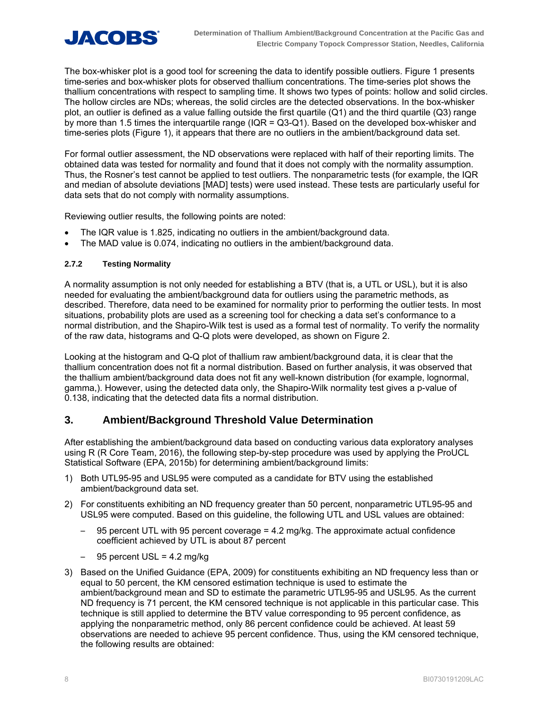

The box-whisker plot is a good tool for screening the data to identify possible outliers. Figure 1 presents time-series and box-whisker plots for observed thallium concentrations. The time-series plot shows the thallium concentrations with respect to sampling time. It shows two types of points: hollow and solid circles. The hollow circles are NDs; whereas, the solid circles are the detected observations. In the box-whisker plot, an outlier is defined as a value falling outside the first quartile (Q1) and the third quartile (Q3) range by more than 1.5 times the interquartile range (IQR = Q3-Q1). Based on the developed box-whisker and time-series plots (Figure 1), it appears that there are no outliers in the ambient/background data set.

For formal outlier assessment, the ND observations were replaced with half of their reporting limits. The obtained data was tested for normality and found that it does not comply with the normality assumption. Thus, the Rosner's test cannot be applied to test outliers. The nonparametric tests (for example, the IQR and median of absolute deviations [MAD] tests) were used instead. These tests are particularly useful for data sets that do not comply with normality assumptions.

Reviewing outlier results, the following points are noted:

- The IQR value is 1.825, indicating no outliers in the ambient/background data.
- The MAD value is 0.074, indicating no outliers in the ambient/background data.

#### **2.7.2 Testing Normality**

A normality assumption is not only needed for establishing a BTV (that is, a UTL or USL), but it is also needed for evaluating the ambient/background data for outliers using the parametric methods, as described. Therefore, data need to be examined for normality prior to performing the outlier tests. In most situations, probability plots are used as a screening tool for checking a data set's conformance to a normal distribution, and the Shapiro-Wilk test is used as a formal test of normality. To verify the normality of the raw data, histograms and Q-Q plots were developed, as shown on Figure 2.

Looking at the histogram and Q-Q plot of thallium raw ambient/background data, it is clear that the thallium concentration does not fit a normal distribution. Based on further analysis, it was observed that the thallium ambient/background data does not fit any well-known distribution (for example, lognormal, gamma,). However, using the detected data only, the Shapiro-Wilk normality test gives a p-value of 0.138, indicating that the detected data fits a normal distribution.

# **3. Ambient/Background Threshold Value Determination**

After establishing the ambient/background data based on conducting various data exploratory analyses using R (R Core Team, 2016), the following step-by-step procedure was used by applying the ProUCL Statistical Software (EPA, 2015b) for determining ambient/background limits:

- 1) Both UTL95-95 and USL95 were computed as a candidate for BTV using the established ambient/background data set.
- 2) For constituents exhibiting an ND frequency greater than 50 percent, nonparametric UTL95-95 and USL95 were computed. Based on this guideline, the following UTL and USL values are obtained:
	- 95 percent UTL with 95 percent coverage = 4.2 mg/kg. The approximate actual confidence coefficient achieved by UTL is about 87 percent
	- 95 percent USL = 4.2 mg/kg
- 3) Based on the Unified Guidance (EPA, 2009) for constituents exhibiting an ND frequency less than or equal to 50 percent, the KM censored estimation technique is used to estimate the ambient/background mean and SD to estimate the parametric UTL95-95 and USL95. As the current ND frequency is 71 percent, the KM censored technique is not applicable in this particular case. This technique is still applied to determine the BTV value corresponding to 95 percent confidence, as applying the nonparametric method, only 86 percent confidence could be achieved. At least 59 observations are needed to achieve 95 percent confidence. Thus, using the KM censored technique, the following results are obtained: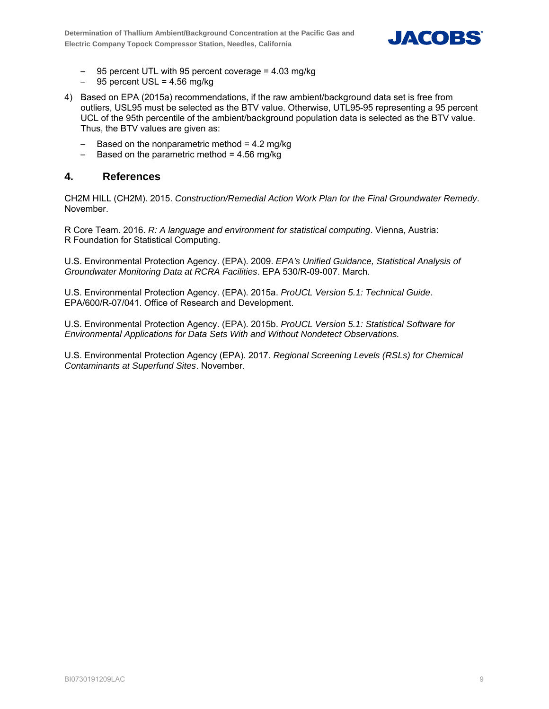

- 95 percent UTL with 95 percent coverage = 4.03 mg/kg
- $-$  95 percent USL = 4.56 mg/kg
- 4) Based on EPA (2015a) recommendations, if the raw ambient/background data set is free from outliers, USL95 must be selected as the BTV value. Otherwise, UTL95-95 representing a 95 percent UCL of the 95th percentile of the ambient/background population data is selected as the BTV value. Thus, the BTV values are given as:
	- Based on the nonparametric method  $= 4.2$  mg/kg
	- $-$  Based on the parametric method = 4.56 mg/kg

# **4. References**

CH2M HILL (CH2M). 2015. *Construction/Remedial Action Work Plan for the Final Groundwater Remedy*. November.

R Core Team. 2016. *R: A language and environment for statistical computing*. Vienna, Austria: R Foundation for Statistical Computing.

U.S. Environmental Protection Agency. (EPA). 2009. *EPA's Unified Guidance, Statistical Analysis of Groundwater Monitoring Data at RCRA Facilities*. EPA 530/R-09-007. March.

U.S. Environmental Protection Agency. (EPA). 2015a. *ProUCL Version 5.1: Technical Guide*. EPA/600/R-07/041. Office of Research and Development.

U.S. Environmental Protection Agency. (EPA). 2015b. *ProUCL Version 5.1: Statistical Software for Environmental Applications for Data Sets With and Without Nondetect Observations.* 

U.S. Environmental Protection Agency (EPA). 2017. *Regional Screening Levels (RSLs) for Chemical Contaminants at Superfund Sites*. November.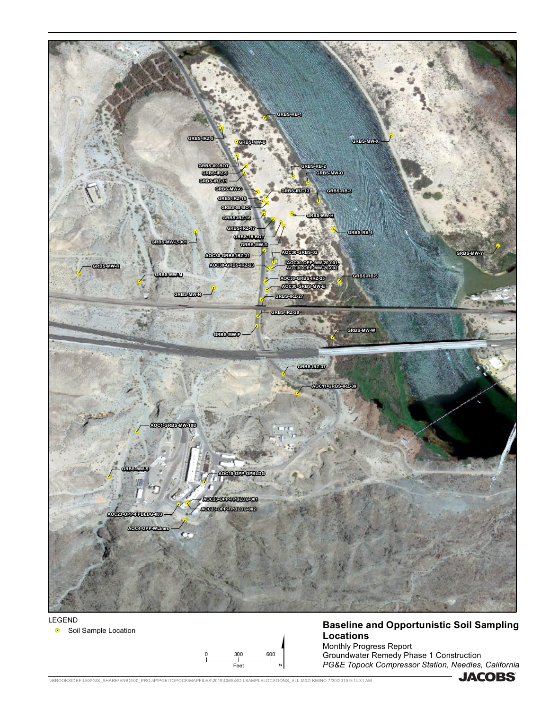



# **Baseline and Opportunistic Soil Sampling Locations** Monthly Progress Report

Groundwater Remedy Phase 1 Construction *PG&E Topock Compressor Station, Needles, California*

**.** Soil Sample Location